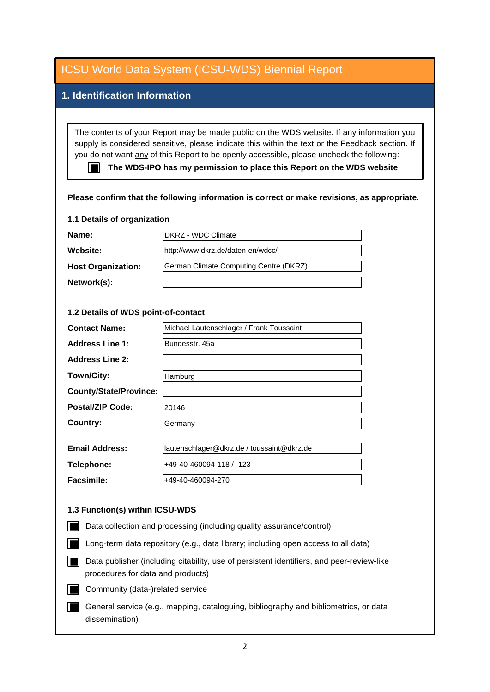| <b>ICSU World Data System (ICSU-WDS) Biennial Report</b>                                                                                                                                                                                                                                                                                                                                                                                                           |                                            |
|--------------------------------------------------------------------------------------------------------------------------------------------------------------------------------------------------------------------------------------------------------------------------------------------------------------------------------------------------------------------------------------------------------------------------------------------------------------------|--------------------------------------------|
| 1. Identification Information                                                                                                                                                                                                                                                                                                                                                                                                                                      |                                            |
|                                                                                                                                                                                                                                                                                                                                                                                                                                                                    |                                            |
| The contents of your Report may be made public on the WDS website. If any information you<br>supply is considered sensitive, please indicate this within the text or the Feedback section. If<br>you do not want any of this Report to be openly accessible, please uncheck the following:<br>The WDS-IPO has my permission to place this Report on the WDS website<br>Please confirm that the following information is correct or make revisions, as appropriate. |                                            |
| 1.1 Details of organization                                                                                                                                                                                                                                                                                                                                                                                                                                        |                                            |
| Name:                                                                                                                                                                                                                                                                                                                                                                                                                                                              | DKRZ - WDC Climate                         |
| <b>Website:</b>                                                                                                                                                                                                                                                                                                                                                                                                                                                    | http://www.dkrz.de/daten-en/wdcc/          |
| <b>Host Organization:</b>                                                                                                                                                                                                                                                                                                                                                                                                                                          | German Climate Computing Centre (DKRZ)     |
| Network(s):                                                                                                                                                                                                                                                                                                                                                                                                                                                        |                                            |
| 1.2 Details of WDS point-of-contact<br>Michael Lautenschlager / Frank Toussaint<br><b>Contact Name:</b>                                                                                                                                                                                                                                                                                                                                                            |                                            |
| <b>Address Line 1:</b>                                                                                                                                                                                                                                                                                                                                                                                                                                             | Bundesstr. 45a                             |
| <b>Address Line 2:</b>                                                                                                                                                                                                                                                                                                                                                                                                                                             |                                            |
| Town/City:                                                                                                                                                                                                                                                                                                                                                                                                                                                         | Hamburg                                    |
| <b>County/State/Province:</b>                                                                                                                                                                                                                                                                                                                                                                                                                                      |                                            |
| <b>Postal/ZIP Code:</b>                                                                                                                                                                                                                                                                                                                                                                                                                                            | 20146                                      |
| Country:                                                                                                                                                                                                                                                                                                                                                                                                                                                           | Germany                                    |
| <b>Email Address:</b>                                                                                                                                                                                                                                                                                                                                                                                                                                              | lautenschlager@dkrz.de / toussaint@dkrz.de |
| Telephone:                                                                                                                                                                                                                                                                                                                                                                                                                                                         | +49-40-460094-118 / -123                   |
| <b>Facsimile:</b>                                                                                                                                                                                                                                                                                                                                                                                                                                                  | +49-40-460094-270                          |
| 1.3 Function(s) within ICSU-WDS                                                                                                                                                                                                                                                                                                                                                                                                                                    |                                            |
| Data collection and processing (including quality assurance/control)                                                                                                                                                                                                                                                                                                                                                                                               |                                            |
| Long-term data repository (e.g., data library; including open access to all data)                                                                                                                                                                                                                                                                                                                                                                                  |                                            |
| Data publisher (including citability, use of persistent identifiers, and peer-review-like<br>procedures for data and products)                                                                                                                                                                                                                                                                                                                                     |                                            |
| Community (data-)related service                                                                                                                                                                                                                                                                                                                                                                                                                                   |                                            |
| General service (e.g., mapping, cataloguing, bibliography and bibliometrics, or data<br>dissemination)                                                                                                                                                                                                                                                                                                                                                             |                                            |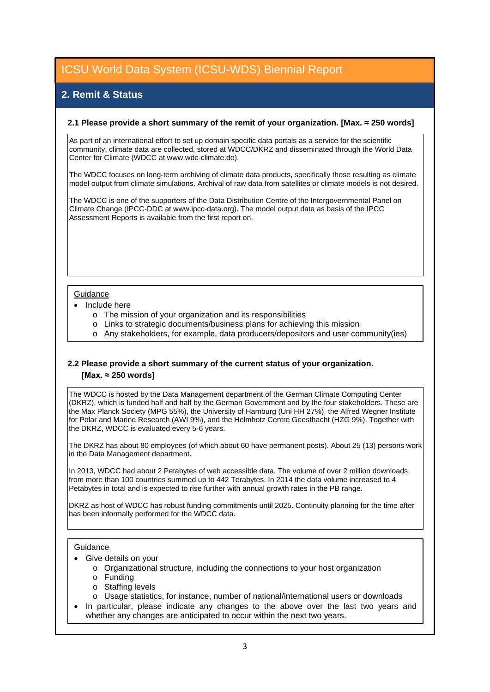## **2. Remit & Status**

#### **2.1 Please provide a short summary of the remit of your organization. [Max. ≈ 250 words]**

As part of an international effort to set up domain specific data portals as a service for the scientific community, climate data are collected, stored at WDCC/DKRZ and disseminated through the World Data Center for Climate (WDCC at www.wdc-climate.de).

The WDCC focuses on long-term archiving of climate data products, specifically those resulting as climate model output from climate simulations. Archival of raw data from satellites or climate models is not desired.

The WDCC is one of the supporters of the Data Distribution Centre of the Intergovernmental Panel on Climate Change (IPCC-DDC at www.ipcc-data.org). The model output data as basis of the IPCC Assessment Reports is available from the first report on.

#### Guidance

- Include here
	- o The mission of your organization and its responsibilities
	- o Links to strategic documents/business plans for achieving this mission
	- o Any stakeholders, for example, data producers/depositors and user community(ies)

### **2.2 Please provide a short summary of the current status of your organization. [Max. ≈ 250 words]**

The WDCC is hosted by the Data Management department of the German Climate Computing Center (DKRZ), which is funded half and half by the German Government and by the four stakeholders. These are the Max Planck Society (MPG 55%), the University of Hamburg (Uni HH 27%), the Alfred Wegner Institute for Polar and Marine Research (AWI 9%), and the Helmhotz Centre Geesthacht (HZG 9%). Together with the DKRZ, WDCC is evaluated every 5-6 years.

The DKRZ has about 80 employees (of which about 60 have permanent posts). About 25 (13) persons work in the Data Management department.

In 2013, WDCC had about 2 Petabytes of web accessible data. The volume of over 2 million downloads from more than 100 countries summed up to 442 Terabytes. In 2014 the data volume increased to 4 Petabytes in total and is expected to rise further with annual growth rates in the PB range.

DKRZ as host of WDCC has robust funding commitments until 2025. Continuity planning for the time after has been informally performed for the WDCC data.

#### **Guidance**

- Give details on your
	- o Organizational structure, including the connections to your host organization
	- o Funding
	- o Staffing levels
	- o Usage statistics, for instance, number of national/international users or downloads
- In particular, please indicate any changes to the above over the last two years and whether any changes are anticipated to occur within the next two years.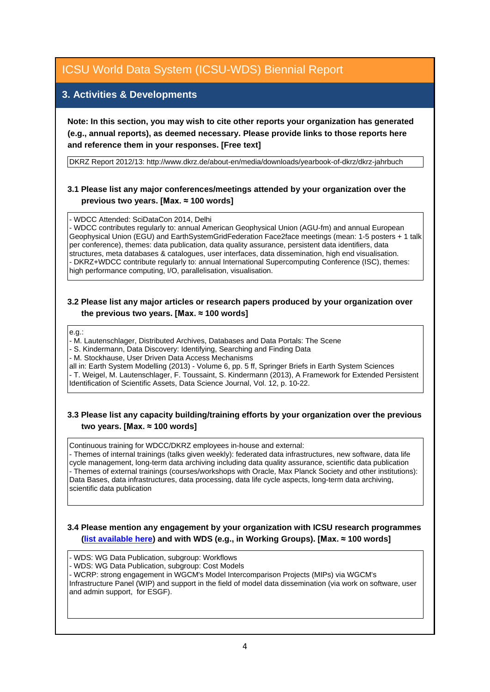### **3. Activities & Developments**

**Note: In this section, you may wish to cite other reports your organization has generated (e.g., annual reports), as deemed necessary. Please provide links to those reports here and reference them in your responses. [Free text]**

DKRZ Report 2012/13: http://www.dkrz.de/about-en/media/downloads/yearbook-of-dkrz/dkrz-jahrbuch

### **3.1 Please list any major conferences/meetings attended by your organization over the previous two years. [Max. ≈ 100 words]**

- WDCC Attended: SciDataCon 2014, Delhi

- WDCC contributes regularly to: annual American Geophysical Union (AGU-fm) and annual European Geophysical Union (EGU) and EarthSystemGridFederation Face2face meetings (mean: 1-5 posters + 1 talk per conference), themes: data publication, data quality assurance, persistent data identifiers, data structures, meta databases & catalogues, user interfaces, data dissemination, high end visualisation. - DKRZ+WDCC contribute regularly to: annual International Supercomputing Conference (ISC), themes: high performance computing, I/O, parallelisation, visualisation.

### **3.2 Please list any major articles or research papers produced by your organization over the previous two years. [Max. ≈ 100 words]**

e.g.:

- M. Lautenschlager, Distributed Archives, Databases and Data Portals: The Scene

- S. Kindermann, Data Discovery: Identifying, Searching and Finding Data

- M. Stockhause, User Driven Data Access Mechanisms

all in: Earth System Modelling (2013) - Volume 6, pp. 5 ff, Springer Briefs in Earth System Sciences - T. Weigel, M. Lautenschlager, F. Toussaint, S. Kindermann (2013), A Framework for Extended Persistent Identification of Scientific Assets, Data Science Journal, Vol. 12, p. 10-22.

### **3.3 Please list any capacity building/training efforts by your organization over the previous two years. [Max. ≈ 100 words]**

Continuous training for WDCC/DKRZ employees in-house and external:

- Themes of internal trainings (talks given weekly): federated data infrastructures, new software, data life cycle management, long-term data archiving including data quality assurance, scientific data publication - Themes of external trainings (courses/workshops with Oracle, Max Planck Society and other institutions): Data Bases, data infrastructures, data processing, data life cycle aspects, long-term data archiving, scientific data publication

#### **3.4 Please mention any engagement by your organization with ICSU research programmes [\(list available here\)](http://www.icsu.org/what-we-do/@@category_search?path=/icsu/what-we-do&Subject:list=International%20Research%20Collaboration) and with WDS (e.g., in Working Groups). [Max. ≈ 100 words]**

- WDS: WG Data Publication, subgroup: Workflows

- WDS: WG Data Publication, subgroup: Cost Models

- WCRP: strong engagement in WGCM's Model Intercomparison Projects (MIPs) via WGCM's Infrastructure Panel (WIP) and support in the field of model data dissemination (via work on software, user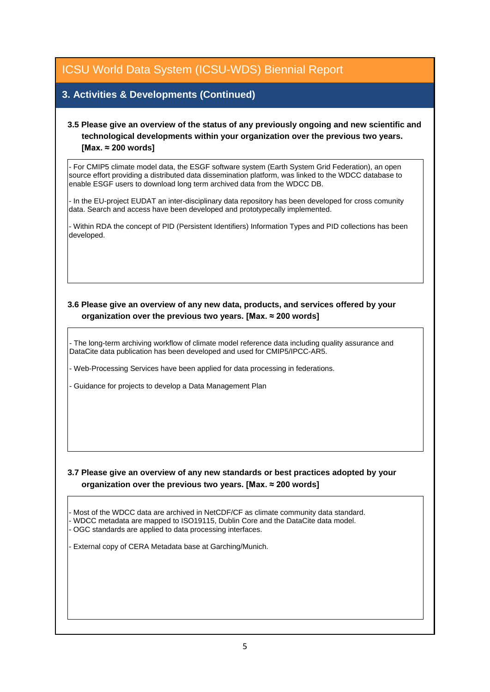## **3. Activities & Developments (Continued)**

### **3.5 Please give an overview of the status of any previously ongoing and new scientific and technological developments within your organization over the previous two years. [Max. ≈ 200 words]**

- For CMIP5 climate model data, the ESGF software system (Earth System Grid Federation), an open source effort providing a distributed data dissemination platform, was linked to the WDCC database to enable ESGF users to download long term archived data from the WDCC DB.

- In the EU-project EUDAT an inter-disciplinary data repository has been developed for cross comunity data. Search and access have been developed and prototypecally implemented.

- Within RDA the concept of PID (Persistent Identifiers) Information Types and PID collections has been developed.

### **3.6 Please give an overview of any new data, products, and services offered by your organization over the previous two years. [Max. ≈ 200 words]**

- The long-term archiving workflow of climate model reference data including quality assurance and DataCite data publication has been developed and used for CMIP5/IPCC-AR5.

- Web-Processing Services have been applied for data processing in federations.

- Guidance for projects to develop a Data Management Plan

### **3.7 Please give an overview of any new standards or best practices adopted by your organization over the previous two years. [Max. ≈ 200 words]**

- Most of the WDCC data are archived in NetCDF/CF as climate community data standard.

- WDCC metadata are mapped to ISO19115, Dublin Core and the DataCite data model.

- OGC standards are applied to data processing interfaces.

- External copy of CERA Metadata base at Garching/Munich.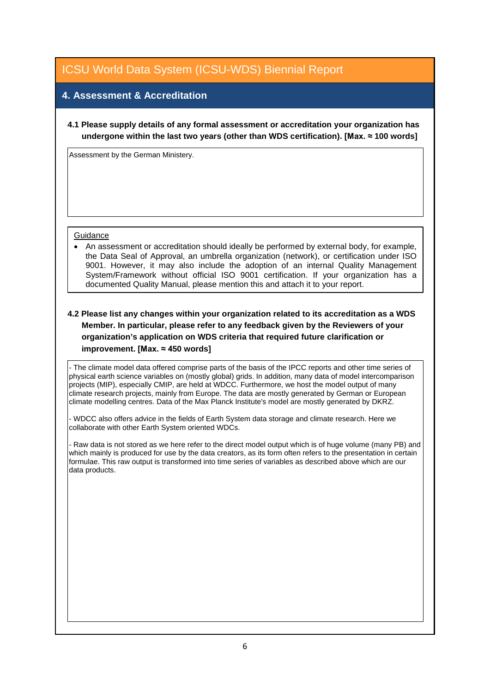## **4. Assessment & Accreditation**

**4.1 Please supply details of any formal assessment or accreditation your organization has undergone within the last two years (other than WDS certification). [Max. ≈ 100 words]**

Assessment by the German Ministery.

#### **Guidance**

• An assessment or accreditation should ideally be performed by external body, for example, the Data Seal of Approval, an umbrella organization (network), or certification under ISO 9001. However, it may also include the adoption of an internal Quality Management System/Framework without official ISO 9001 certification. If your organization has a documented Quality Manual, please mention this and attach it to your report.

### **4.2 Please list any changes within your organization related to its accreditation as a WDS Member. In particular, please refer to any feedback given by the Reviewers of your organization's application on WDS criteria that required future clarification or improvement. [Max. ≈ 450 words]**

- The climate model data offered comprise parts of the basis of the IPCC reports and other time series of physical earth science variables on (mostly global) grids. In addition, many data of model intercomparison projects (MIP), especially CMIP, are held at WDCC. Furthermore, we host the model output of many climate research projects, mainly from Europe. The data are mostly generated by German or European climate modelling centres. Data of the Max Planck Institute's model are mostly generated by DKRZ.

- WDCC also offers advice in the fields of Earth System data storage and climate research. Here we collaborate with other Earth System oriented WDCs.

- Raw data is not stored as we here refer to the direct model output which is of huge volume (many PB) and which mainly is produced for use by the data creators, as its form often refers to the presentation in certain formulae. This raw output is transformed into time series of variables as described above which are our data products.